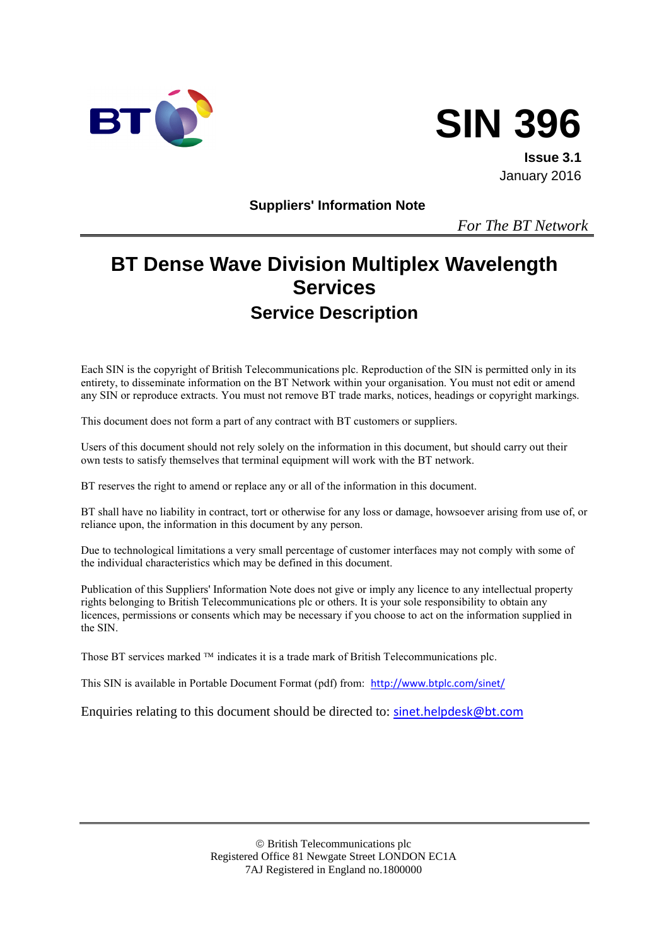



**Issue 3.1** January 2016

**Suppliers' Information Note**

*For The BT Network*

# **BT Dense Wave Division Multiplex Wavelength Services Service Description**

Each SIN is the copyright of British Telecommunications plc. Reproduction of the SIN is permitted only in its entirety, to disseminate information on the BT Network within your organisation. You must not edit or amend any SIN or reproduce extracts. You must not remove BT trade marks, notices, headings or copyright markings.

This document does not form a part of any contract with BT customers or suppliers.

Users of this document should not rely solely on the information in this document, but should carry out their own tests to satisfy themselves that terminal equipment will work with the BT network.

BT reserves the right to amend or replace any or all of the information in this document.

BT shall have no liability in contract, tort or otherwise for any loss or damage, howsoever arising from use of, or reliance upon, the information in this document by any person.

Due to technological limitations a very small percentage of customer interfaces may not comply with some of the individual characteristics which may be defined in this document.

Publication of this Suppliers' Information Note does not give or imply any licence to any intellectual property rights belonging to British Telecommunications plc or others. It is your sole responsibility to obtain any licences, permissions or consents which may be necessary if you choose to act on the information supplied in the SIN.

Those BT services marked  $TM$  indicates it is a trade mark of British Telecommunications plc.

This SIN is available in Portable Document Format (pdf) from: <http://www.btplc.com/sinet/>

Enquiries relating to this document should be directed to: [sinet.helpdesk@bt.com](mailto:sinet.helpdesk@bt.com)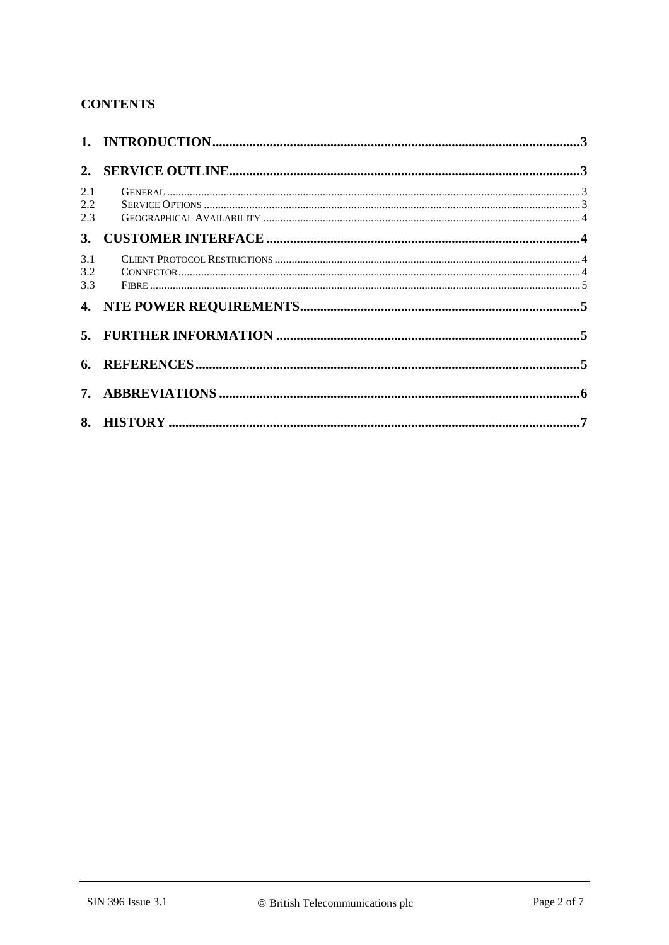## **CONTENTS**

| 2.1<br>$2.2^{\circ}$<br>2.3 |  |  |  |
|-----------------------------|--|--|--|
|                             |  |  |  |
| 3.1<br>3.2<br>3.3           |  |  |  |
|                             |  |  |  |
|                             |  |  |  |
|                             |  |  |  |
|                             |  |  |  |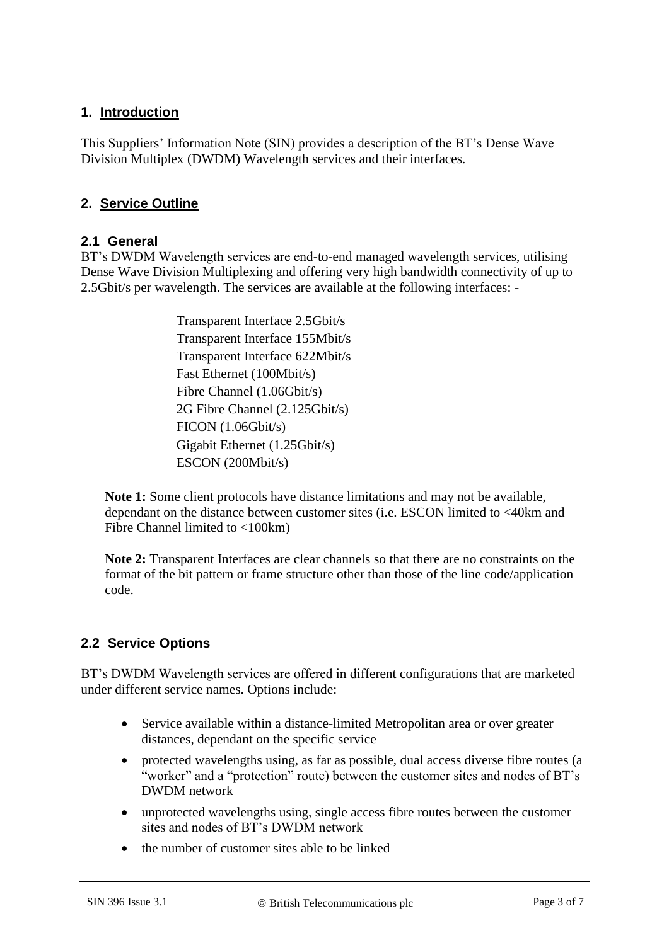#### **1. Introduction**

This Suppliers' Information Note (SIN) provides a description of the BT's Dense Wave Division Multiplex (DWDM) Wavelength services and their interfaces.

#### **2. Service Outline**

#### **2.1 General**

BT's DWDM Wavelength services are end-to-end managed wavelength services, utilising Dense Wave Division Multiplexing and offering very high bandwidth connectivity of up to 2.5Gbit/s per wavelength. The services are available at the following interfaces: -

> Transparent Interface 2.5Gbit/s Transparent Interface 155Mbit/s Transparent Interface 622Mbit/s Fast Ethernet (100Mbit/s) Fibre Channel (1.06Gbit/s) 2G Fibre Channel (2.125Gbit/s) FICON (1.06Gbit/s) Gigabit Ethernet (1.25Gbit/s) ESCON (200Mbit/s)

**Note 1:** Some client protocols have distance limitations and may not be available, dependant on the distance between customer sites (i.e. ESCON limited to <40km and Fibre Channel limited to <100km)

**Note 2:** Transparent Interfaces are clear channels so that there are no constraints on the format of the bit pattern or frame structure other than those of the line code/application code.

#### **2.2 Service Options**

BT's DWDM Wavelength services are offered in different configurations that are marketed under different service names. Options include:

- Service available within a distance-limited Metropolitan area or over greater distances, dependant on the specific service
- protected wavelengths using, as far as possible, dual access diverse fibre routes (a "worker" and a "protection" route) between the customer sites and nodes of BT's DWDM network
- unprotected wavelengths using, single access fibre routes between the customer sites and nodes of BT's DWDM network
- the number of customer sites able to be linked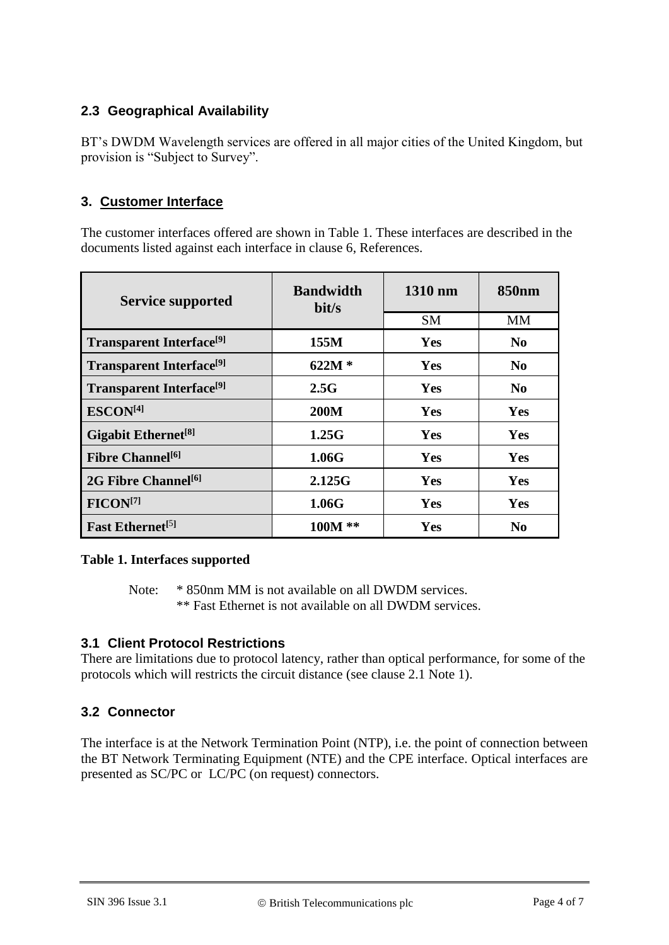## **2.3 Geographical Availability**

BT's DWDM Wavelength services are offered in all major cities of the United Kingdom, but provision is "Subject to Survey".

#### **3. Customer Interface**

The customer interfaces offered are shown in Table 1. These interfaces are described in the documents listed against each interface in clause 6, References.

| <b>Service supported</b>                    | <b>Bandwidth</b><br>bit/s | 1310 nm    | 850 <sub>nm</sub> |
|---------------------------------------------|---------------------------|------------|-------------------|
|                                             |                           | <b>SM</b>  | <b>MM</b>         |
| <b>Transparent Interface</b> <sup>[9]</sup> | 155M                      | <b>Yes</b> | N <sub>0</sub>    |
| <b>Transparent Interface</b> <sup>[9]</sup> | $622M*$                   | Yes        | N <sub>0</sub>    |
| <b>Transparent Interface</b> <sup>[9]</sup> | 2.5G                      | Yes        | N <sub>0</sub>    |
| ESCON <sup>[4]</sup>                        | <b>200M</b>               | Yes        | <b>Yes</b>        |
| Gigabit Ethernet <sup>[8]</sup>             | 1.25G                     | <b>Yes</b> | <b>Yes</b>        |
| <b>Fibre Channel</b> <sup>[6]</sup>         | 1.06G                     | Yes        | Yes               |
| 2G Fibre Channel <sup>[6]</sup>             | 2.125G                    | Yes        | Yes               |
| FICON <sup>[7]</sup>                        | 1.06G                     | Yes        | Yes               |
| <b>Fast Ethernet</b> <sup>[5]</sup>         | 100M **                   | Yes        | $\bf No$          |

#### **Table 1. Interfaces supported**

Note: \* 850nm MM is not available on all DWDM services. \*\* Fast Ethernet is not available on all DWDM services.

#### **3.1 Client Protocol Restrictions**

There are limitations due to protocol latency, rather than optical performance, for some of the protocols which will restricts the circuit distance (see clause 2.1 Note 1).

#### **3.2 Connector**

The interface is at the Network Termination Point (NTP), i.e. the point of connection between the BT Network Terminating Equipment (NTE) and the CPE interface. Optical interfaces are presented as SC/PC or LC/PC (on request) connectors.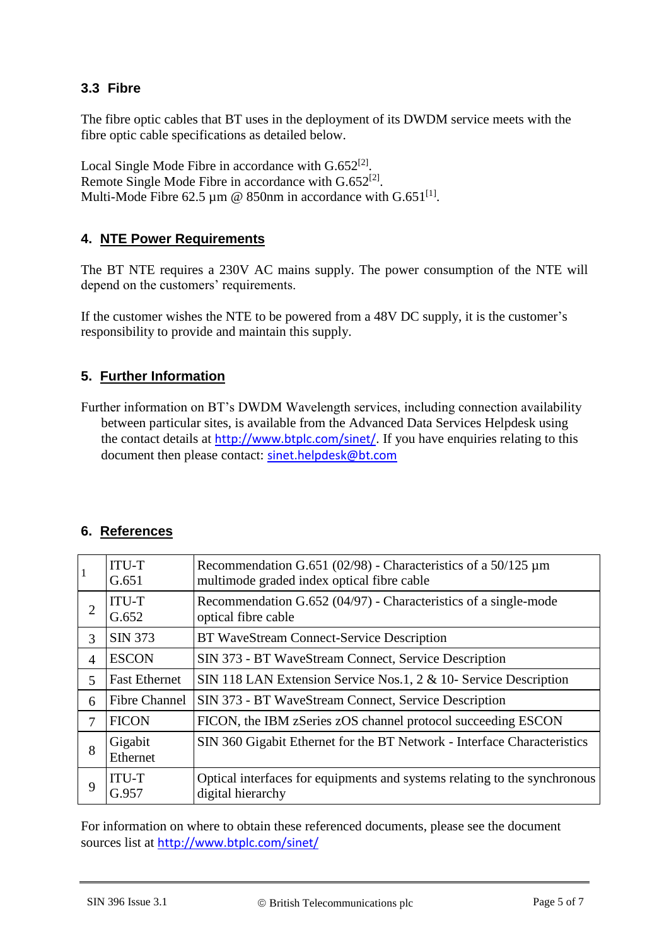#### **3.3 Fibre**

The fibre optic cables that BT uses in the deployment of its DWDM service meets with the fibre optic cable specifications as detailed below.

Local Single Mode Fibre in accordance with  $G.652^{[2]}$  $G.652^{[2]}$  $G.652^{[2]}$ . Remote Single Mode Fibre in accordance with  $G.652^{[2]}$  $G.652^{[2]}$  $G.652^{[2]}$ . Multi-Mode Fibre 62.5 µm @ 850nm in accordance with  $G.651^{[1]}$  $G.651^{[1]}$  $G.651^{[1]}$ .

#### **4. NTE Power Requirements**

The BT NTE requires a 230V AC mains supply. The power consumption of the NTE will depend on the customers' requirements.

If the customer wishes the NTE to be powered from a 48V DC supply, it is the customer's responsibility to provide and maintain this supply.

#### **5. Further Information**

Further information on BT's DWDM Wavelength services, including connection availability between particular sites, is available from the Advanced Data Services Helpdesk using the contact details at <http://www.btplc.com/sinet/>. If you have enquiries relating to this document then please contact: [sinet.helpdesk@bt.com](mailto:sinet.helpdesk@bt.com)

#### **6. References**

<span id="page-4-7"></span><span id="page-4-6"></span><span id="page-4-5"></span><span id="page-4-1"></span>

| $\mathbf{1}$   | <b>ITU-T</b><br>G.651 | Recommendation G.651 (02/98) - Characteristics of a $50/125 \mu m$<br>multimode graded index optical fibre cable |
|----------------|-----------------------|------------------------------------------------------------------------------------------------------------------|
| $\overline{2}$ | <b>ITU-T</b><br>G.652 | Recommendation G.652 (04/97) - Characteristics of a single-mode<br>optical fibre cable                           |
| 3              | <b>SIN 373</b>        | <b>BT WaveStream Connect-Service Description</b>                                                                 |
| $\overline{4}$ | <b>ESCON</b>          | SIN 373 - BT WaveStream Connect, Service Description                                                             |
| 5              | <b>Fast Ethernet</b>  | SIN 118 LAN Extension Service Nos.1, 2 & 10- Service Description                                                 |
| 6              | <b>Fibre Channel</b>  | SIN 373 - BT WaveStream Connect, Service Description                                                             |
| 7              | <b>FICON</b>          | FICON, the IBM zSeries zOS channel protocol succeeding ESCON                                                     |
| 8              | Gigabit<br>Ethernet   | SIN 360 Gigabit Ethernet for the BT Network - Interface Characteristics                                          |
| 9              | <b>ITU-T</b><br>G.957 | Optical interfaces for equipments and systems relating to the synchronous<br>digital hierarchy                   |

<span id="page-4-4"></span><span id="page-4-3"></span><span id="page-4-2"></span><span id="page-4-0"></span>For information on where to obtain these referenced documents, please see the document sources list at <http://www.btplc.com/sinet/>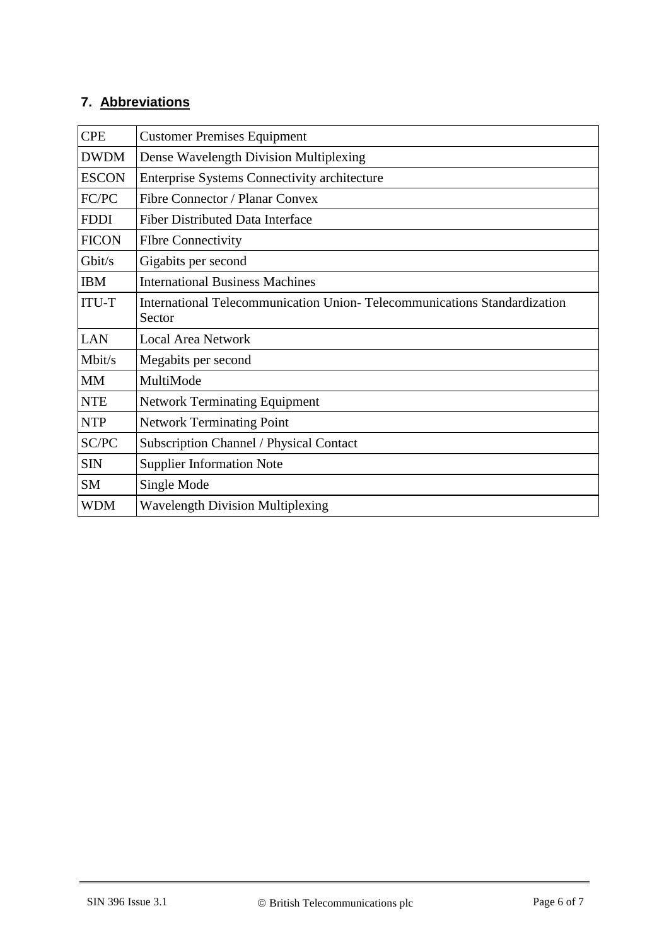# **7. Abbreviations**

| <b>CPE</b>   | <b>Customer Premises Equipment</b>                                                 |  |  |  |
|--------------|------------------------------------------------------------------------------------|--|--|--|
| <b>DWDM</b>  | Dense Wavelength Division Multiplexing                                             |  |  |  |
| <b>ESCON</b> | <b>Enterprise Systems Connectivity architecture</b>                                |  |  |  |
| FC/PC        | Fibre Connector / Planar Convex                                                    |  |  |  |
| <b>FDDI</b>  | <b>Fiber Distributed Data Interface</b>                                            |  |  |  |
| <b>FICON</b> | <b>FIbre Connectivity</b>                                                          |  |  |  |
| Gbit/s       | Gigabits per second                                                                |  |  |  |
| <b>IBM</b>   | <b>International Business Machines</b>                                             |  |  |  |
| <b>ITU-T</b> | International Telecommunication Union-Telecommunications Standardization<br>Sector |  |  |  |
| <b>LAN</b>   | <b>Local Area Network</b>                                                          |  |  |  |
| Mbit/s       | Megabits per second                                                                |  |  |  |
| <b>MM</b>    | MultiMode                                                                          |  |  |  |
| <b>NTE</b>   | <b>Network Terminating Equipment</b>                                               |  |  |  |
| <b>NTP</b>   | <b>Network Terminating Point</b>                                                   |  |  |  |
| SC/PC        | <b>Subscription Channel / Physical Contact</b>                                     |  |  |  |
| <b>SIN</b>   | <b>Supplier Information Note</b>                                                   |  |  |  |
| <b>SM</b>    | Single Mode                                                                        |  |  |  |
| WDM          | <b>Wavelength Division Multiplexing</b>                                            |  |  |  |